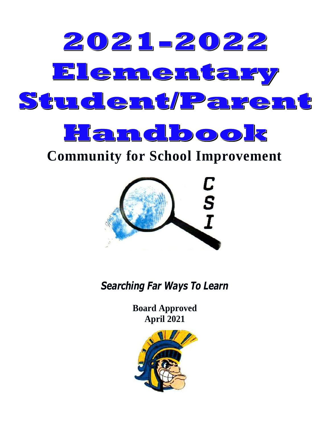

# **Community for School Improvement**



*Searching Far Ways To Learn*

**Board Approved April 2021**

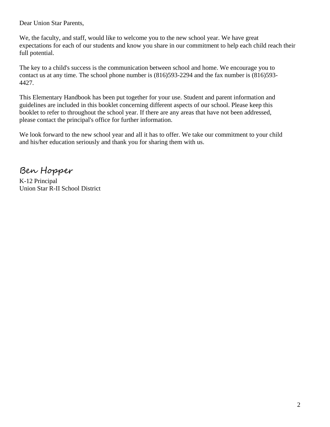Dear Union Star Parents,

We, the faculty, and staff, would like to welcome you to the new school year. We have great expectations for each of our students and know you share in our commitment to help each child reach their full potential.

The key to a child's success is the communication between school and home. We encourage you to contact us at any time. The school phone number is (816)593-2294 and the fax number is (816)593- 4427.

This Elementary Handbook has been put together for your use. Student and parent information and guidelines are included in this booklet concerning different aspects of our school. Please keep this booklet to refer to throughout the school year. If there are any areas that have not been addressed, please contact the principal's office for further information.

We look forward to the new school year and all it has to offer. We take our commitment to your child and his/her education seriously and thank you for sharing them with us.

Ben Hopper

K-12 Principal Union Star R-II School District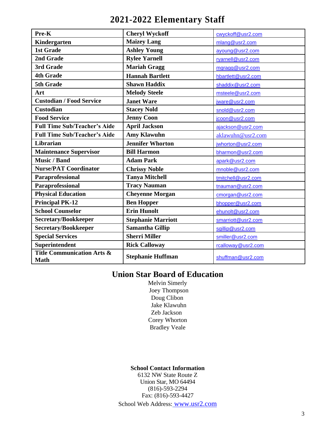## **2021-2022 Elementary Staff**

| Pre-K                                                | <b>Cheryl Wyckoff</b>     | cwyckoff@usr2.com  |  |  |
|------------------------------------------------------|---------------------------|--------------------|--|--|
| Kindergarten                                         | <b>Maizey Lang</b>        | mlang@usr2.com     |  |  |
| <b>1st Grade</b>                                     | <b>Ashley Young</b>       | ayoung@usr2.com    |  |  |
| 2nd Grade                                            | <b>Rylee Yarnell</b>      | ryarnell@usr2.com  |  |  |
| 3rd Grade                                            | <b>Mariah Gragg</b>       | mgragg@usr2.com    |  |  |
| <b>4th Grade</b>                                     | <b>Hannah Bartlett</b>    | hbartlett@usr2.com |  |  |
| 5th Grade                                            | <b>Shawn Haddix</b>       | shaddix@usr2.com   |  |  |
| Art                                                  | <b>Melody Steele</b>      | msteele@usr2.com   |  |  |
| <b>Custodian / Food Service</b>                      | <b>Janet Ware</b>         | jware@usr2.com     |  |  |
| <b>Custodian</b>                                     | <b>Stacey Nold</b>        | snold@usr2.com     |  |  |
| <b>Food Service</b>                                  | <b>Jenny Coon</b>         | jcoon@usr2.com     |  |  |
| <b>Full Time Sub/Teacher's Aide</b>                  | <b>April Jackson</b>      | ajackson@usr2.com  |  |  |
| <b>Full Time Sub/Teacher's Aide</b>                  | <b>Amy Klawuhn</b>        | aklawuhn@usr2.com  |  |  |
| Librarian                                            | <b>Jennifer Whorton</b>   | jwhorton@usr2.com  |  |  |
| <b>Maintenance Supervisor</b>                        | <b>Bill Harmon</b>        | bharmon@usr2.com   |  |  |
| <b>Music / Band</b>                                  | <b>Adam Park</b>          | apark@usr2.com     |  |  |
| <b>Nurse/PAT Coordinator</b>                         | <b>Chrissy Noble</b>      | mnoble@usr2.com    |  |  |
| Paraprofessional                                     | <b>Tanya Mitchell</b>     | tmitchell@usr2.com |  |  |
| Paraprofessional                                     | <b>Tracy Nauman</b>       | tnauman@usr2.com   |  |  |
| <b>Physical Education</b>                            | <b>Cheyenne Morgan</b>    | cmorgan@usr2.com   |  |  |
| <b>Principal PK-12</b>                               | <b>Ben Hopper</b>         | bhopper@usr2.com   |  |  |
| <b>School Counselor</b>                              | <b>Erin Hunolt</b>        | ehunolt@usr2.com   |  |  |
| Secretary/Bookkeeper                                 | <b>Stephanie Marriott</b> | smarriott@usr2.com |  |  |
| Secretary/Bookkeeper                                 | <b>Samantha Gillip</b>    | sgillip@usr2.com   |  |  |
| <b>Special Services</b>                              | <b>Sherri Miller</b>      | smiller@usr2.com   |  |  |
| Superintendent                                       | <b>Rick Calloway</b>      | rcalloway@usr2.com |  |  |
| <b>Title Communication Arts &amp;</b><br><b>Math</b> | <b>Stephanie Huffman</b>  | shuffman@usr2.com  |  |  |

## **Union Star Board of Education**

Melvin Simerly Joey Thompson Doug Clibon Jake Klawuhn Zeb Jackson Corey Whorton Bradley Veale

## **School Contact Information**

6132 NW State Route Z Union Star, MO 64494 (816)-593-2294 Fax: (816)-593-4427 School Web Address: [www.usr2.com](http://www.usr2.com/)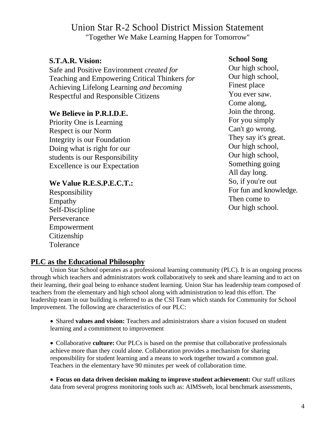## Union Star R-2 School District Mission Statement "Together We Make Learning Happen for Tomorrow"

## **S.T.A.R. Vision:**

Safe and Positive Environment *created for*  Teaching and Empowering Critical Thinkers *for*  Achieving Lifelong Learning *and becoming*  Respectful and Responsible Citizens

## **We Believe in P.R.I.D.E.**

Priority One is Learning Respect is our Norm Integrity is our Foundation Doing what is right for our students is our Responsibility Excellence is our Expectation

## **We Value R.E.S.P.E.C.T.:**

Responsibility Empathy Self-Discipline Perseverance Empowerment Citizenship Tolerance

## **School Song**

Our high school, Our high school, Finest place You ever saw. Come along, Join the throng. For you simply Can't go wrong. They say it's great. Our high school, Our high school, Something going All day long. So, if you're out For fun and knowledge. Then come to Our high school.

## **PLC as the Educational Philosophy**

Union Star School operates as a professional learning community (PLC). It is an ongoing process through which teachers and administrators work collaboratively to seek and share learning and to act on their learning, their goal being to enhance student learning. Union Star has leadership team composed of teachers from the elementary and high school along with administration to lead this effort. The leadership team in our building is referred to as the CSI Team which stands for Community for School Improvement. The following are characteristics of our PLC:

• Shared **values and vision:** Teachers and administrators share a vision focused on student learning and a commitment to improvement

• Collaborative **culture:** Our PLCs is based on the premise that collaborative professionals achieve more than they could alone. Collaboration provides a mechanism for sharing responsibility for student learning and a means to work together toward a common goal. Teachers in the elementary have 90 minutes per week of collaboration time.

• **Focus on data driven decision making to improve student achievement:** Our staff utilizes data from several progress monitoring tools such as: AIMSweb, local benchmark assessments,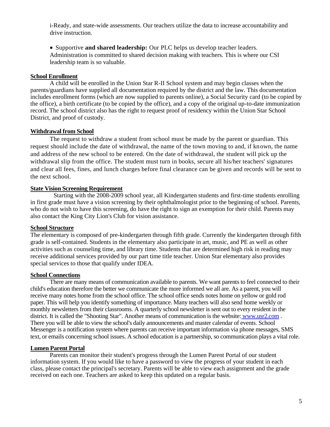i-Ready, and state-wide assessments. Our teachers utilize the data to increase accountability and drive instruction.

• Supportive **and shared leadership:** Our PLC helps us develop teacher leaders. Administration is committed to shared decision making with teachers. This is where our CSI leadership team is so valuable.

#### **School Enrollment**

A child will be enrolled in the Union Star R-II School system and may begin classes when the parents/guardians have supplied all documentation required by the district and the law. This documentation includes enrollment forms (which are now supplied to parents online), a Social Security card (to be copied by the office), a birth certificate (to be copied by the office), and a copy of the original up-to-date immunization record. The school district also has the right to request proof of residency within the Union Star School District, and proof of custody.

#### **Withdrawal from School**

The request to withdraw a student from school must be made by the parent or guardian. This request should include the date of withdrawal, the name of the town moving to and, if known, the name and address of the new school to be entered. On the date of withdrawal, the student will pick up the withdrawal slip from the office. The student must turn in books, secure all his/her teachers' signatures and clear all fees, fines, and lunch charges before final clearance can be given and records will be sent to the next school.

#### **State Vision Screening Requirement**

Starting with the 2008-2009 school year, all Kindergarten students and first-time students enrolling in first grade must have a vision screening by their ophthalmologist prior to the beginning of school. Parents, who do not wish to have this screening, do have the right to sign an exemption for their child. Parents may also contact the King City Lion's Club for vision assistance.

#### **School Structure**

The elementary is composed of pre-kindergarten through fifth grade. Currently the kindergarten through fifth grade is self-contained. Students in the elementary also participate in art, music, and PE as well as other activities such as counseling time, and library time. Students that are determined high risk in reading may receive additional services provided by our part time title teacher. Union Star elementary also provides special services to those that qualify under IDEA.

#### **School Connections**

There are many means of communication available to parents. We want parents to feel connected to their child's education therefore the better we communicate the more informed we all are. As a parent, you will receive many notes home from the school office. The school office sends notes home on yellow or gold rod paper. This will help you identify something of importance. Many teachers will also send home weekly or monthly newsletters from their classrooms. A quarterly school newsletter is sent out to every resident in the district. It is called the "Shooting Star". Another means of communication is the website: [www.usr2.com](http://www.usr2.com/). There you will be able to view the school's daily announcements and master calendar of events. School Messenger is a notification system where parents can receive important information via phone messages, SMS text, or emails concerning school issues. A school education is a partnership, so communication plays a vital role.

#### **Lumen Parent Portal**

Parents can monitor their student's progress through the Lumen Parent Portal of our student information system. If you would like to have a password to view the progress of your student in each class, please contact the principal's secretary. Parents will be able to view each assignment and the grade received on each one. Teachers are asked to keep this updated on a regular basis.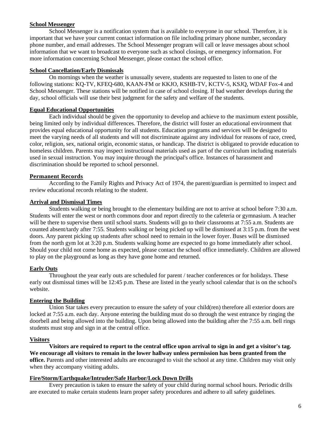#### **School Messenger**

School Messenger is a notification system that is available to everyone in our school. Therefore, it is important that we have your current contact information on file including primary phone number, secondary phone number, and email addresses. The School Messenger program will call or leave messages about school information that we want to broadcast to everyone such as school closings, or emergency information. For more information concerning School Messenger, please contact the school office.

#### **School Cancellation/Early Dismissals**

On mornings when the weather is unusually severe, students are requested to listen to one of the following stations: KQ-TV, KFEQ-680, KAAN-FM or KKJO, KSHB-TV, KCTV-5, KSJQ, WDAF Fox-4 and School Messenger. These stations will be notified in case of school closing. If bad weather develops during the day, school officials will use their best judgment for the safety and welfare of the students.

#### **Equal Educational Opportunities**

Each individual should be given the opportunity to develop and achieve to the maximum extent possible, being limited only by individual differences. Therefore, the district will foster an educational environment that provides equal educational opportunity for all students. Education programs and services will be designed to meet the varying needs of all students and will not discriminate against any individual for reasons of race, creed, color, religion, sex, national origin, economic status, or handicap. The district is obligated to provide education to homeless children. Parents may inspect instructional materials used as part of the curriculum including materials used in sexual instruction. You may inquire through the principal's office. Instances of harassment and discrimination should be reported to school personnel.

#### **Permanent Records**

According to the Family Rights and Privacy Act of 1974, the parent/guardian is permitted to inspect and review educational records relating to the student.

#### **Arrival and Dismissal Times**

Students walking or being brought to the elementary building are not to arrive at school before 7:30 a.m. Students will enter the west or north commons door and report directly to the cafeteria or gymnasium. A teacher will be there to supervise them until school starts. Students will go to their classrooms at 7:55 a.m. Students are counted absent/tardy after 7:55. Students walking or being picked up will be dismissed at 3:15 p.m. from the west doors. Any parent picking up students after school need to remain in the lower foyer. Buses will be dismissed from the north gym lot at 3:20 p.m. Students walking home are expected to go home immediately after school. Should your child not come home as expected, please contact the school office immediately. Children are allowed to play on the playground as long as they have gone home and returned.

#### **Early Outs**

Throughout the year early outs are scheduled for parent / teacher conferences or for holidays. These early out dismissal times will be 12:45 p.m. These are listed in the yearly school calendar that is on the school's website.

#### **Entering the Building**

Union Star takes every precaution to ensure the safety of your child(ren) therefore all exterior doors are locked at 7:55 a.m. each day. Anyone entering the building must do so through the west entrance by ringing the doorbell and being allowed into the building. Upon being allowed into the building after the 7:55 a.m. bell rings students must stop and sign in at the central office.

#### **Visitors**

**Visitors are required to report to the central office upon arrival to sign in and get a visitor's tag. We encourage all visitors to remain in the lower hallway unless permission has been granted from the office.** Parents and other interested adults are encouraged to visit the school at any time. Children may visit only when they accompany visiting adults.

#### **Fire/Storm/Earthquake/Intruder/Safe Harbor/Lock Down Drills**

Every precaution is taken to ensure the safety of your child during normal school hours. Periodic drills are executed to make certain students learn proper safety procedures and adhere to all safety guidelines.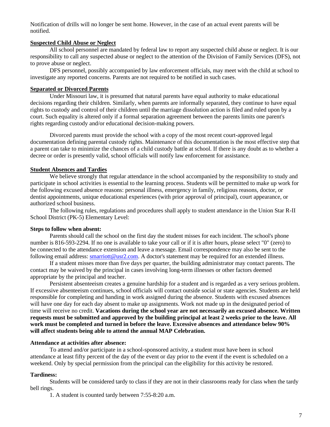Notification of drills will no longer be sent home. However, in the case of an actual event parents will be notified.

#### **Suspected Child Abuse or Neglect**

All school personnel are mandated by federal law to report any suspected child abuse or neglect. It is our responsibility to call any suspected abuse or neglect to the attention of the Division of Family Services (DFS), not to prove abuse or neglect.

DFS personnel, possibly accompanied by law enforcement officials, may meet with the child at school to investigate any reported concerns. Parents are not required to be notified in such cases.

#### **Separated or Divorced Parents**

Under Missouri law, it is presumed that natural parents have equal authority to make educational decisions regarding their children. Similarly, when parents are informally separated, they continue to have equal rights to custody and control of their children until the marriage dissolution action is filed and ruled upon by a court. Such equality is altered only if a formal separation agreement between the parents limits one parent's rights regarding custody and/or educational decision-making powers.

Divorced parents must provide the school with a copy of the most recent court-approved legal documentation defining parental custody rights. Maintenance of this documentation is the most effective step that a parent can take to minimize the chances of a child custody battle at school. If there is any doubt as to whether a decree or order is presently valid, school officials will notify law enforcement for assistance.

#### **Student Absences and Tardies**

We believe strongly that regular attendance in the school accompanied by the responsibility to study and participate in school activities is essential to the learning process. Students will be permitted to make up work for the following excused absence reasons: personal illness, emergency in family, religious reasons, doctor, or dentist appointments, unique educational experiences (with prior approval of principal), court appearance, or authorized school business.

The following rules, regulations and procedures shall apply to student attendance in the Union Star R-II School District (PK-5) Elementary Level:

#### **Steps to follow when absent:**

Parents should call the school on the first day the student misses for each incident. The school's phone number is 816-593-2294. If no one is available to take your call or if it is after hours, please select "0" (zero) to be connected to the attendance extension and leave a message. Email correspondence may also be sent to the following email address: **smarriott@usr2.com**. A doctor's statement may be required for an extended illness.

If a student misses more than five days per quarter, the building administrator may contact parents. The contact may be waived by the principal in cases involving long-term illnesses or other factors deemed appropriate by the principal and teacher.

Persistent absenteeism creates a genuine hardship for a student and is regarded as a very serious problem. If excessive absenteeism continues, school officials will contact outside social or state agencies. Students are held responsible for completing and handing in work assigned during the absence. Students with excused absences will have one day for each day absent to make up assignments. Work not made up in the designated period of time will receive no credit. **Vacations during the school year are not necessarily an excused absence. Written requests must be submitted and approved by the building principal at least 2 weeks prior to the leave. All work must be completed and turned in before the leave. Excessive absences and attendance below 90% will affect students being able to attend the annual MAP Celebration.**

#### **Attendance at activities after absence:**

To attend and/or participate in a school-sponsored activity, a student must have been in school attendance at least fifty percent of the day of the event or day prior to the event if the event is scheduled on a weekend. Only by special permission from the principal can the eligibility for this activity be restored.

#### **Tardiness:**

Students will be considered tardy to class if they are not in their classrooms ready for class when the tardy bell rings.

1. A student is counted tardy between 7:55-8:20 a.m.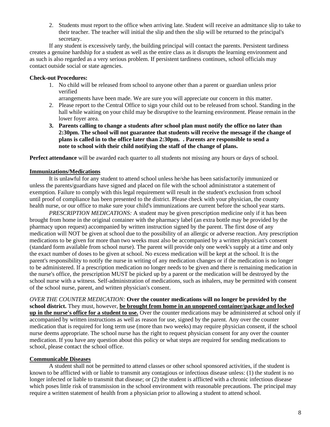2. Students must report to the office when arriving late. Student will receive an admittance slip to take to their teacher. The teacher will initial the slip and then the slip will be returned to the principal's secretary.

If any student is excessively tardy, the building principal will contact the parents. Persistent tardiness creates a genuine hardship for a student as well as the entire class as it disrupts the learning environment and as such is also regarded as a very serious problem. If persistent tardiness continues, school officials may contact outside social or state agencies.

#### **Check-out Procedures:**

- 1. No child will be released from school to anyone other than a parent or guardian unless prior verified
	- arrangements have been made. We are sure you will appreciate our concern in this matter.
- 2. Please report to the Central Office to sign your child out to be released from school. Standing in the hall while waiting on your child may be disruptive to the learning environment. Please remain in the lower foyer area.
- **3. Parents calling to change a students after school plan must notify the office no later than 2:30pm. The school will not guarantee that students will receive the message if the change of plans is called in to the office later than 2:30pm. . Parents are responsible to send a note to school with their child notifying the staff of the change of plans.**

**Perfect attendance** will be awarded each quarter to all students not missing any hours or days of school.

#### **Immunizations/Medications**

It is unlawful for any student to attend school unless he/she has been satisfactorily immunized or unless the parents/guardians have signed and placed on file with the school administrator a statement of exemption. Failure to comply with this legal requirement will result in the student's exclusion from school until proof of compliance has been presented to the district. Please check with your physician, the county health nurse, or our office to make sure your child's immunizations are current before the school year starts.

*PRESCRIPTION MEDICATIONS:* A student may be given prescription medicine only if it has been brought from home in the original container with the pharmacy label (an extra bottle may be provided by the pharmacy upon request) accompanied by written instruction signed by the parent. The first dose of any medication will NOT be given at school due to the possibility of an allergic or adverse reaction. Any prescription medications to be given for more than two weeks must also be accompanied by a written physician's consent (standard form available from school nurse). The parent will provide only one week's supply at a time and only the exact number of doses to be given at school. No excess medication will be kept at the school. It is the parent's responsibility to notify the nurse in writing of any medication changes or if the medication is no longer to be administered. If a prescription medication no longer needs to be given and there is remaining medication in the nurse's office, the prescription MUST be picked up by a parent or the medication will be destroyed by the school nurse with a witness. Self-administration of medications, such as inhalers, may be permitted with consent of the school nurse, parent, and written physician's consent.

*OVER THE COUNTER MEDICATION:* **Over the counter medications will no longer be provided by the school district.** They must, however, **be brought from home in an unopened container/package and locked up in the nurse's office for a student to use.** Over the counter medications may be administered at school only if accompanied by written instructions as well as reason for use, signed by the parent. Any over the counter medication that is required for long term use (more than two weeks) may require physician consent, if the school nurse deems appropriate. The school nurse has the right to request physician consent for any over the counter medication. If you have any question about this policy or what steps are required for sending medications to school, please contact the school office.

#### **Communicable Diseases**

A student shall not be permitted to attend classes or other school sponsored activities, if the student is known to be afflicted with or liable to transmit any contagious or infectious disease unless: (1) the student is no longer infected or liable to transmit that disease; or (2) the student is afflicted with a chronic infectious disease which poses little risk of transmission in the school environment with reasonable precautions. The principal may require a written statement of health from a physician prior to allowing a student to attend school.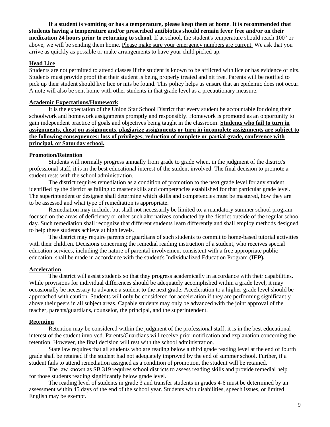**If a student is vomiting or has a temperature, please keep them at home**. **It is recommended that students having a temperature and/or prescribed antibiotics should remain fever free and/or on their medication 24 hours prior to returning to school.** If at school, the student's temperature should reach 100° or above, we will be sending them home. Please make sure your emergency numbers are current. We ask that you arrive as quickly as possible or make arrangements to have your child picked up.

#### **Head Lice**

Students are not permitted to attend classes if the student is known to be afflicted with lice or has evidence of nits. Students must provide proof that their student is being properly treated and nit free. Parents will be notified to pick up their student should live lice or nits be found. This policy helps us ensure that an epidemic does not occur. A note will also be sent home with other students in that grade level as a precautionary measure.

#### **Academic Expectations/Homework**

It is the expectation of the Union Star School District that every student be accountable for doing their schoolwork and homework assignments promptly and responsibly. Homework is promoted as an opportunity to gain independent practice of goals and objectives being taught in the classroom. **Students who fail to turn in assignments, cheat on assignments, plagiarize assignments or turn in incomplete assignments are subject to the following consequences: loss of privileges, reduction of complete or partial grade, conference with principal, or Saturday school.** 

#### **Promotion/Retention**

Students will normally progress annually from grade to grade when, in the judgment of the district's professional staff, it is in the best educational interest of the student involved. The final decision to promote a student rests with the school administration.

The district requires remediation as a condition of promotion to the next grade level for any student identified by the district as failing to master skills and competencies established for that particular grade level. The superintendent or designee shall determine which skills and competencies must be mastered, how they are to be assessed and what type of remediation is appropriate.

Remediation may include, but shall not necessarily be limited to, a mandatory summer school program focused on the areas of deficiency or other such alternatives conducted by the district outside of the regular school day. Such remediation shall recognize that different students learn differently and shall employ methods designed to help these students achieve at high levels.

The district may require parents or guardians of such students to commit to home-based tutorial activities with their children. Decisions concerning the remedial reading instruction of a student, who receives special education services, including the nature of parental involvement consistent with a free appropriate public education, shall be made in accordance with the student's Individualized Education Program **(IEP).**

#### **Acceleration**

The district will assist students so that they progress academically in accordance with their capabilities. While provisions for individual differences should be adequately accomplished within a grade level, it may occasionally be necessary to advance a student to the next grade. Acceleration to a higher-grade level should be approached with caution. Students will only be considered for acceleration if they are performing significantly above their peers in all subject areas. Capable students may only be advanced with the joint approval of the teacher, parents/guardians, counselor, the principal, and the superintendent.

#### **Retention**

Retention may be considered within the judgment of the professional staff; it is in the best educational interest of the student involved. Parents/Guardians will receive prior notification and explanation concerning the retention. However, the final decision will rest with the school administration.

State law requires that all students who are reading below a third grade reading level at the end of fourth grade shall be retained if the student had not adequately improved by the end of summer school. Further, if a student fails to attend remediation assigned as a condition of promotion, the student will be retained.

The law known as SB 319 requires school districts to assess reading skills and provide remedial help for those students reading significantly below grade level.

The reading level of students in grade 3 and transfer students in grades 4-6 must be determined by an assessment within 45 days of the end of the school year. Students with disabilities, speech issues, or limited English may be exempt.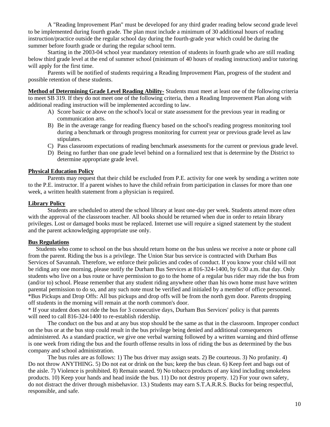A "Reading Improvement Plan" must be developed for any third grader reading below second grade level to be implemented during fourth grade. The plan must include a minimum of 30 additional hours of reading instruction/practice outside the regular school day during the fourth-grade year which could be during the summer before fourth grade or during the regular school term.

Starting in the 2003-04 school year mandatory retention of students in fourth grade who are still reading below third grade level at the end of summer school (minimum of 40 hours of reading instruction) and/or tutoring will apply for the first time.

Parents will be notified of students requiring a Reading Improvement Plan, progress of the student and possible retention of these students.

**Method of Determining Grade Level Reading Ability-** Students must meet at least one of the following criteria to meet SB 319. If they do not meet one of the following criteria, then a Reading Improvement Plan along with additional reading instruction will be implemented according to law.

- A) Score basic or above on the school's local or state assessment for the previous year in reading or communication arts.
- B) Be in the average range for reading fluency based on the school's reading progress monitoring tool during a benchmark or through progress monitoring for current year or previous grade level as law stipulates.
- C) Pass classroom expectations of reading benchmark assessments for the current or previous grade level.
- D) Being no further than one grade level behind on a formalized test that is determine by the District to determine appropriate grade level.

#### **Physical Education Policy**

Parents may request that their child be excluded from P.E. activity for one week by sending a written note to the P.E. instructor. If a parent wishes to have the child refrain from participation in classes for more than one week, a written health statement from a physician is required.

#### **Library Policy**

Students are scheduled to attend the school library at least one-day per week. Students attend more often with the approval of the classroom teacher. All books should be returned when due in order to retain library privileges. Lost or damaged books must be replaced. Internet use will require a signed statement by the student and the parent acknowledging appropriate use only.

#### **Bus Regulations**

Students who come to school on the bus should return home on the bus unless we receive a note or phone call from the parent. Riding the bus is a privilege. The Union Star bus service is contracted with Durham Bus Services of Savannah. Therefore, we enforce their policies and codes of conduct. If you know your child will not be riding any one morning, please notify the Durham Bus Services at 816-324-1400, by 6:30 a.m. that day. Only students who live on a bus route or have permission to go to the home of a regular bus rider may ride the bus from (and/or to) school. Please remember that any student riding anywhere other than his own home must have written parental permission to do so, and any such note must be verified and initialed by a member of office personnel. \*Bus Pickups and Drop Offs: All bus pickups and drop offs will be from the north gym door. Parents dropping off students in the morning will remain at the north common's door.

\* If your student does not ride the bus for 3 consecutive days, Durham Bus Services' policy is that parents will need to call 816-324-1400 to re-establish ridership.

The conduct on the bus and at any bus stop should be the same as that in the classroom. Improper conduct on the bus or at the bus stop could result in the bus privilege being denied and additional consequences administered. As a standard practice, we give one verbal warning followed by a written warning and third offense is one week from riding the bus and the fourth offense results in loss of riding the bus as determined by the bus company and school administration.

The bus rules are as follows: 1) The bus driver may assign seats. 2) Be courteous. 3) No profanity. 4) Do not throw ANYTHING. 5) Do not eat or drink on the bus; keep the bus clean. 6) Keep feet and bags out of the aisle. 7) Violence is prohibited. 8) Remain seated. 9) No tobacco products of any kind including smokeless products. 10) Keep your hands and head inside the bus. 11) Do not destroy property. 12) For your own safety, do not distract the driver through misbehavior. 13.) Students may earn S.T.A.R.R.S. Bucks for being respectful, responsible, and safe.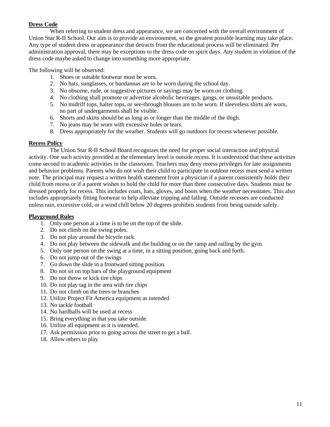#### **Dress Code**

When referring to student dress and appearance, we are concerned with the overall environment of Union Star R-II School. Our aim is to provide an environment, so the greatest possible learning may take place. Any type of student dress or appearance that detracts from the educational process will be eliminated. Per administration approval, there may be exceptions to the dress code on spirit days. Any student in violation of the dress code maybe asked to change into something more appropriate.

The following will be observed:

- 1. Shoes or suitable footwear must be worn.
- 2. No hats, sunglasses, or bandannas are to be worn during the school day.
- 3. No obscene, rude, or suggestive pictures or sayings may be worn on clothing.
- 4. No clothing shall promote or advertise alcoholic beverages, gangs, or unsuitable products.
- 5. No midriff tops, halter tops, or see-through blouses are to be worn. If sleeveless shirts are worn, no part of undergarments shall be visible.
- 6. Shorts and skirts should be as long as or longer than the middle of the thigh.
- 7. No jeans may be worn with excessive holes or tears.
- 8. Dress appropriately for the weather. Students will go outdoors for recess whenever possible.

#### **Recess Policy**

The Union Star R-II School Board recognizes the need for proper social interaction and physical activity. One such activity provided at the elementary level is outside recess. It is understood that these activities come second to academic activities in the classroom. Teachers may deny recess privileges for late assignments and behavior problems. Parents who do not wish their child to participate in outdoor recess must send a written note. The principal may request a written health statement from a physician if a parent consistently holds their child from recess or if a parent wishes to hold the child for more than three consecutive days. Students must be dressed properly for recess. This includes coats, hats, gloves, and boots when the weather necessitates. This also includes appropriately fitting footwear to help alleviate tripping and falling. Outside recesses are conducted unless rain, excessive cold, or a wind chill below 20 degrees prohibits students from being outside safely.

#### **Playground Rules**

- 1. Only one person at a time is to be on the top of the slide.
- 2. Do not climb on the swing poles.
- 3. Do not play around the bicycle rack.
- 4. Do not play between the sidewalk and the building or on the ramp and railing by the gym.
- 5. Only one person on the swing at a time, in a sitting position, going back and forth.
- 6. Do not jump out of the swings
- 7. Go down the slide in a frontward sitting position.
- 8. Do not sit on top bars of the playground equipment
- 9. Do not throw or kick tire chips
- 10. Do not play tag in the area with tire chips
- 11. Do not climb on the trees or branches
- 12. Utilize Project Fit America equipment as intended
- 13. No tackle football
- 14. No hardballs will be used at recess
- 15. Bring everything in that you take outside.
- 16. Utilize all equipment as it is intended.
- 17. Ask permission prior to going across the street to get a ball.
- 18. Allow others to play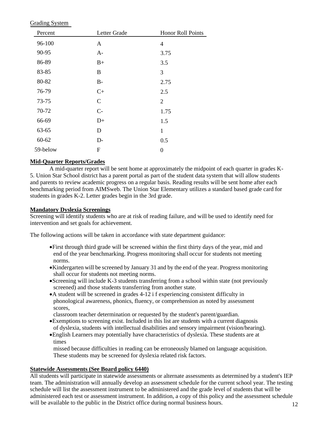Grading System

| Letter Grade<br>Percent |              | Honor Roll Points |  |  |
|-------------------------|--------------|-------------------|--|--|
| 96-100                  | A            | $\overline{4}$    |  |  |
| 90-95                   | $A-$         | 3.75              |  |  |
| 86-89                   | $B+$         | 3.5               |  |  |
| 83-85                   | B            | 3                 |  |  |
| 80-82                   | $B-$         | 2.75              |  |  |
| 76-79                   | $C+$         | 2.5               |  |  |
| 73-75                   | $\mathsf{C}$ | $\overline{2}$    |  |  |
| 70-72                   | $C-$         | 1.75              |  |  |
| 66-69                   | $D+$         | 1.5               |  |  |
| 63-65                   | D            | $\mathbf{1}$      |  |  |
| $60 - 62$               | $D-$         | 0.5               |  |  |
| 59-below                | $\mathbf F$  | 0                 |  |  |

#### **Mid-Quarter Reports/Grades**

A mid-quarter report will be sent home at approximately the midpoint of each quarter in grades K-5. Union Star School district has a parent portal as part of the student data system that will allow students and parents to review academic progress on a regular basis. Reading results will be sent home after each benchmarking period from AIMSweb. The Union Star Elementary utilizes a standard based grade card for students in grades K-2. Letter grades begin in the 3rd grade.

#### **Mandatory Dyslexia Screenings**

Screening will identify students who are at risk of reading failure, and will be used to identify need for intervention and set goals for achievement.

The following actions will be taken in accordance with state department guidance:

- •First through third grade will be screened within the first thirty days of the year, mid and end of the year benchmarking. Progress monitoring shall occur for students not meeting norms.
- •Kindergarten will be screened by January 31 and by the end of the year. Progress monitoring shall occur for students not meeting norms.
- •Screening will include K-3 students transferring from a school within state (not previously screened) and those students transferring from another state.
- •A student will be screened in grades 4-12 i f experiencing consistent difficulty in phonological awareness, phonics, fluency, or comprehension as noted by assessment scores,

classroom teacher determination or requested by the student's parent/guardian.

- •Exemptions to screening exist. Included in this list are students with a current diagnosis of dyslexia, students with intellectual disabilities and sensory impairment (vision/hearing).
- •English Learners may potentially have characteristics of dyslexia. These students are at times

missed because difficulties in reading can be erroneously blamed on language acquisition. These students may be screened for dyslexia related risk factors.

#### **Statewide Assessments (See Board policy 6440)**

All students will participate in statewide assessments or alternate assessments as determined by a student's IEP team. The administration will annually develop an assessment schedule for the current school year. The testing schedule will list the assessment instrument to be administered and the grade level of students that will be administered each test or assessment instrument. In addition, a copy of this policy and the assessment schedule will be available to the public in the District office during normal business hours. 12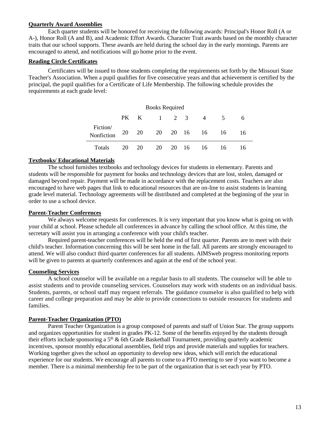#### **Quarterly Award Assemblies**

Each quarter students will be honored for receiving the following awards: Principal's Honor Roll (A or A-), Honor Roll (A and B), and Academic Effort Awards. Character Trait awards based on the monthly character traits that our school supports. These awards are held during the school day in the early mornings. Parents are encouraged to attend, and notifications will go home prior to the event.

#### **Reading Circle Certificates**

Certificates will be issued to those students completing the requirements set forth by the Missouri State Teacher's Association. When a pupil qualifies for five consecutive years and that achievement is certified by the principal, the pupil qualifies for a Certificate of Life Membership. The following schedule provides the requirements at each grade level:

| <b>Books Required</b>  |    |      |       |  |                      |    |    |
|------------------------|----|------|-------|--|----------------------|----|----|
|                        |    | PK K | 1 2 3 |  | $\overline{4}$       | 5  | 6  |
| Fiction/<br>Nonfiction |    |      |       |  | 20 20 20 20 16 16 16 |    | 16 |
| Totals                 | 20 | 20   |       |  | 20 20 16 16          | 16 | 16 |

#### **Textbooks/ Educational Materials**

The school furnishes textbooks and technology devices for students in elementary. Parents and students will be responsible for payment for books and technology devices that are lost, stolen, damaged or damaged beyond repair. Payment will be made in accordance with the replacement costs. Teachers are also encouraged to have web pages that link to educational resources that are on-line to assist students in learning grade level material. Technology agreements will be distributed and completed at the beginning of the year in order to use a school device.

#### **Parent-Teacher Conferences**

We always welcome requests for conferences. It is very important that you know what is going on with your child at school. Please schedule all conferences in advance by calling the school office. At this time, the secretary will assist you in arranging a conference with your child's teacher.

Required parent-teacher conferences will be held the end of first quarter. Parents are to meet with their child's teacher. Information concerning this will be sent home in the fall. All parents are strongly encouraged to attend. We will also conduct third quarter conferences for all students. AIMSweb progress monitoring reports will be given to parents at quarterly conferences and again at the end of the school year.

#### **Counseling Services**

A school counselor will be available on a regular basis to all students. The counselor will be able to assist students and to provide counseling services. Counselors may work with students on an individual basis. Students, parents, or school staff may request referrals. The guidance counselor is also qualified to help with career and college preparation and may be able to provide connections to outside resources for students and families.

#### **Parent-Teacher Organization (PTO)**

Parent Teacher Organization is a group composed of parents and staff of Union Star. The group supports and organizes opportunities for student in grades PK-12. Some of the benefits enjoyed by the students through their efforts include sponsoring a  $5<sup>th</sup>$  & 6th Grade Basketball Tournament, providing quarterly academic incentives, sponsor monthly educational assemblies, field trips and provide materials and supplies for teachers. Working together gives the school an opportunity to develop new ideas, which will enrich the educational experience for our students. We encourage all parents to come to a PTO meeting to see if you want to become a member. There is a minimal membership fee to be part of the organization that is set each year by PTO.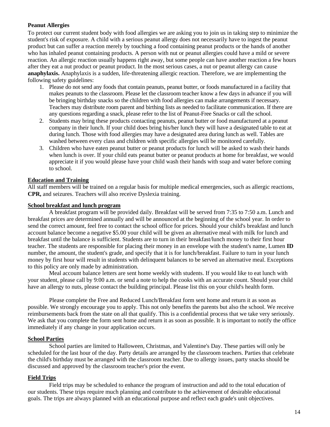#### **Peanut Allergies**

To protect our current student body with food allergies we are asking you to join us in taking step to minimize the student's risk of exposure. A child with a serious peanut allergy does not necessarily have to ingest the peanut product but can suffer a reaction merely by touching a food containing peanut products or the hands of another who has inhaled peanut containing products. A person with nut or peanut allergies could have a mild or severe reaction. An allergic reaction usually happens right away, but some people can have another reaction a few hours after they eat a nut product or peanut product. In the most serious cases, a nut or peanut allergy can cause **anaphylaxis.** Anaphylaxis is a sudden, life-threatening allergic reaction. Therefore, we are implementing the following safety guidelines:

- 1. Please do not send any foods that contain peanuts, peanut butter, or foods manufactured in a facility that makes peanuts to the classroom. Please let the classroom teacher know a few days in advance if you will be bringing birthday snacks so the children with food allergies can make arrangements if necessary. Teachers may distribute room parent and birthing lists as needed to facilitate communication. If there are any questions regarding a snack, please refer to the list of Peanut-Free Snacks or call the school.
- 2. Students may bring these products contacting peanuts, peanut butter or food manufactured at a peanut company in their lunch. If your child does bring his/her lunch they will have a designated table to eat at during lunch. Those with food allergies may have a designated area during lunch as well. Tables are washed between every class and children with specific allergies will be monitored carefully.
- 3. Children who have eaten peanut butter or peanut products for lunch will be asked to wash their hands when lunch is over. If your child eats peanut butter or peanut products at home for breakfast, we would appreciate it if you would please have your child wash their hands with soap and water before coming to school.

#### **Education and Training**

All staff members will be trained on a regular basis for multiple medical emergencies, such as allergic reactions, **CPR,** and seizures. Teachers will also receive Dyslexia training.

#### **School breakfast and lunch program**

A breakfast program will be provided daily. Breakfast will be served from 7:35 to 7:50 a.m. Lunch and breakfast prices are determined annually and will be announced at the beginning of the school year. In order to send the correct amount, feel free to contact the school office for prices. Should your child's breakfast and lunch account balance become a negative \$5.00 your child will be given an alternative meal with milk for lunch and breakfast until the balance is sufficient. Students are to turn in their breakfast/lunch money to their first hour teacher. The students are responsible for placing their money in an envelope with the student's name, Lumen **ID**  number, the amount, the student's grade, and specify that it is for lunch/breakfast. Failure to turn in your lunch money by first hour will result in students with delinquent balances to be served an alternative meal. Exceptions to this policy are only made by administration.

Meal account balance letters are sent home weekly with students. If you would like to eat lunch with your student, please call by 9:00 a.m. or send a note to help the cooks with an accurate count. Should your child have an allergy to nuts, please contact the building principal. Please list this on your child's health form.

Please complete the Free and Reduced Lunch/Breakfast form sent home and return it as soon as possible. We strongly encourage you to apply. This not only benefits the parents but also the school. We receive reimbursements back from the state on all that qualify. This is a confidential process that we take very seriously. We ask that you complete the form sent home and return it as soon as possible. It is important to notify the office immediately if any change in your application occurs.

#### **School Parties**

School parties are limited to Halloween, Christmas, and Valentine's Day. These parties will only be scheduled for the last hour of the day. Party details are arranged by the classroom teachers. Parties that celebrate the child's birthday must be arranged with the classroom teacher. Due to allergy issues, party snacks should be discussed and approved by the classroom teacher's prior the event.

#### **Field Trips**

Field trips may be scheduled to enhance the program of instruction and add to the total education of our students. These trips require much planning and contribute to the achievement of desirable educational goals. The trips are always planned with an educational purpose and reflect each grade's unit objectives.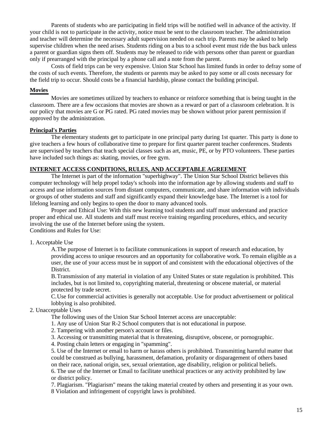Parents of students who are participating in field trips will be notified well in advance of the activity. If your child is not to participate in the activity, notice must be sent to the classroom teacher. The administration and teacher will determine the necessary adult supervision needed on each trip. Parents may be asked to help supervise children when the need arises. Students riding on a bus to a school event must ride the bus back unless a parent or guardian signs them off. Students may be released to ride with persons other than parent or guardian only if prearranged with the principal by a phone call and a note from the parent.

Costs of field trips can be very expensive. Union Star School has limited funds in order to defray some of the costs of such events. Therefore, the students or parents may be asked to pay some or all costs necessary for the field trip to occur. Should costs be a financial hardship, please contact the building principal.

#### **Movies**

Movies are sometimes utilized by teachers to enhance or reinforce something that is being taught in the classroom. There are a few occasions that movies are shown as a reward or part of a classroom celebration. It is our policy that movies are G or PG rated. PG rated movies may be shown without prior parent permission if approved by the administration.

#### **Principal's Parties**

The elementary students get to participate in one principal party during 1st quarter. This party is done to give teachers a few hours of collaborative time to prepare for first quarter parent teacher conferences. Students are supervised by teachers that teach special classes such as art, music, PE, or by PTO volunteers. These parties have included such things as: skating, movies, or free gym.

#### **INTERNET ACCESS CONDITIONS, RULES, AND ACCEPTABLE AGREEMENT**

The Internet is part of the information "superhighway". The Union Star School District believes this computer technology will help propel today's schools into the information age by allowing students and staff to access and use information sources from distant computers, communicate, and share information with individuals or groups of other students and staff and significantly expand their knowledge base. The Internet is a tool for lifelong learning and only begins to open the door to many advanced tools.

Proper and Ethical Use: With this new learning tool students and staff must understand and practice proper and ethical use. All students and staff must receive training regarding procedures, ethics, and security involving the use of the Internet before using the system. Conditions and Rules for Use:

#### 1. Acceptable Use

A.The purpose of Internet is to facilitate communications in support of research and education, by providing access to unique resources and an opportunity for collaborative work. To remain eligible as a user, the use of your access must be in support of and consistent with the educational objectives of the District.

B.Transmission of any material in violation of any United States or state regulation is prohibited. This includes, but is not limited to, copyrighting material, threatening or obscene material, or material protected by trade secret.

C.Use for commercial activities is generally not acceptable. Use for product advertisement or political lobbying is also prohibited.

### 2. Unacceptable Uses

The following uses of the Union Star School Internet access are unacceptable:

1. Any use of Union Star R-2 School computers that is not educational in purpose.

2. Tampering with another person's account or files.

3. Accessing or transmitting material that is threatening, disruptive, obscene, or pornographic.

4. Posting chain letters or engaging in "spamming".

5. Use of the Internet or email to harm or harass others is prohibited. Transmitting harmful matter that could be construed as bullying, harassment, defamation, profanity or disparagement of others based on their race, national origin, sex, sexual orientation, age disability, religion or political beliefs. 6. The use of the Internet or Email to facilitate unethical practices or any activity prohibited by law or district policy.

7. Plagiarism. "Plagiarism" means the taking material created by others and presenting it as your own. 8 Violation and infringement of copyright laws is prohibited.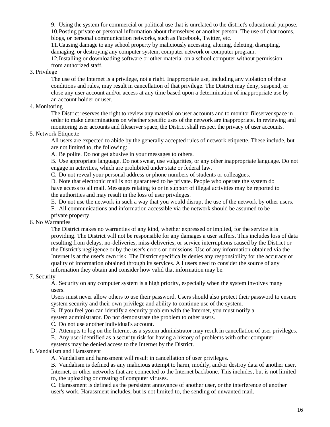9. Using the system for commercial or political use that is unrelated to the district's educational purpose. 10.Posting private or personal information about themselves or another person. The use of chat rooms, blogs, or personal communication networks, such as Facebook, Twitter, etc.

11.Causing damage to any school property by maliciously accessing, altering, deleting, disrupting, damaging, or destroying any computer system, computer network or computer program.

12.Installing or downloading software or other material on a school computer without permission from authorized staff.

#### 3. Privilege

The use of the Internet is a privilege, not a right. Inappropriate use, including any violation of these conditions and rules, may result in cancellation of that privilege. The District may deny, suspend, or close any user account and/or access at any time based upon a determination of inappropriate use by an account holder or user.

#### 4. Monitoring

The District reserves the right to review any material on user accounts and to monitor fileserver space in order to make determinations on whether specific uses of the network are inappropriate. In reviewing and monitoring user accounts and fileserver space, the District shall respect the privacy of user accounts.

#### 5. Network Etiquette

All users are expected to abide by the generally accepted rules of network etiquette. These include, but are not limited to, the following:

A. Be polite. Do not get abusive in your messages to others.

B. Use appropriate language. Do not swear, use vulgarities, or any other inappropriate language. Do not engage in activities, which are prohibited under state or federal law.

C. Do not reveal your personal address or phone numbers of students or colleagues.

D. Note that electronic mail is not guaranteed to be private. People who operate the system do have access to all mail. Messages relating to or in support of illegal activities may be reported to the authorities and may result in the loss of user privileges.

E. Do not use the network in such a way that you would disrupt the use of the network by other users.

F. All communications and information accessible via the network should be assumed to be private property.

## 6. No Warranties

The District makes no warranties of any kind, whether expressed or implied, for the service it is providing. The District will not be responsible for any damages a user suffers. This includes loss of data resulting from delays, no-deliveries, miss-deliveries, or service interruptions caused by the District or the District's negligence or by the user's errors or omissions. Use of any information obtained via the Internet is at the user's own risk. The District specifically denies any responsibility for the accuracy or quality of information obtained through its services. All users need to consider the source of any information they obtain and consider how valid that information may be.

#### 7. Security

A. Security on any computer system is a high priority, especially when the system involves many users.

Users must never allow others to use their password. Users should also protect their password to ensure system security and their own privilege and ability to continue use of the system.

B. If you feel you can identify a security problem with the Internet, you must notify a

system administrator. Do not demonstrate the problem to other users.

C. Do not use another individual's account.

D. Attempts to log on the Internet as a system administrator may result in cancellation of user privileges.

E. Any user identified as a security risk for having a history of problems with other computer

systems may be denied access to the Internet by the District.

#### 8. Vandalism and Harassment

A. Vandalism and harassment will result in cancellation of user privileges.

B. Vandalism is defined as any malicious attempt to harm, modify, and/or destroy data of another user, Internet, or other networks that are connected to the Internet backbone. This includes, but is not limited to, the uploading or creating of computer viruses.

C. Harassment is defined as the persistent annoyance of another user, or the interference of another user's work. Harassment includes, but is not limited to, the sending of unwanted mail.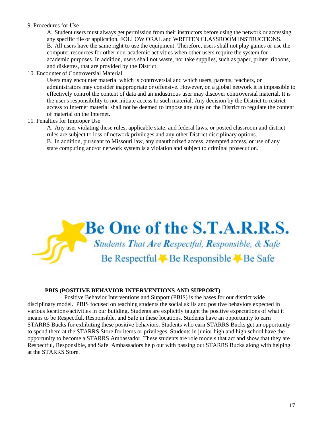#### 9. Procedures for Use

A. Student users must always get permission from their instructors before using the network or accessing any specific file or application. FOLLOW ORAL and WRITTEN CLASSROOM INSTRUCTIONS. B. All users have the same right to use the equipment. Therefore, users shall not play games or use the computer resources for other non-academic activities when other users require the system for academic purposes. In addition, users shall not waste, nor take supplies, such as paper, printer ribbons, and diskettes, that are provided by the District.

10. Encounter of Controversial Material

Users may encounter material which is controversial and which users, parents, teachers, or administrators may consider inappropriate or offensive. However, on a global network it is impossible to effectively control the content of data and an industrious user may discover controversial material. It is the user's responsibility to not initiate access to such material. Any decision by the District to restrict access to Internet material shall not be deemed to impose any duty on the District to regulate the content of material on the Internet.

11. Penalties for Improper Use

A. Any user violating these rules, applicable state, and federal laws, or posted classroom and district rules are subject to loss of network privileges and any other District disciplinary options. B. In addition, pursuant to Missouri law, any unauthorized access, attempted access, or use of any state computing and/or network system is a violation and subject to criminal prosecution.



#### **PBIS (POSITIVE BEHAVIOR INTERVENTIONS AND SUPPORT)**

Positive Behavior Interventions and Support (PBIS) is the bases for our district wide disciplinary model. PBIS focused on teaching students the social skills and positive behaviors expected in various locations/activities in our building. Students are explicitly taught the positive expectations of what it means to be Respectful, Responsible, and Safe in these locations. Students have an opportunity to earn STARRS Bucks for exhibiting these positive behaviors. Students who earn STARRS Bucks get an opportunity to spend them at the STARRS Store for items or privileges. Students in junior high and high school have the opportunity to become a STARRS Ambassador. These students are role models that act and show that they are Respectful, Responsible, and Safe. Ambassadors help out with passing out STARRS Bucks along with helping at the STARRS Store.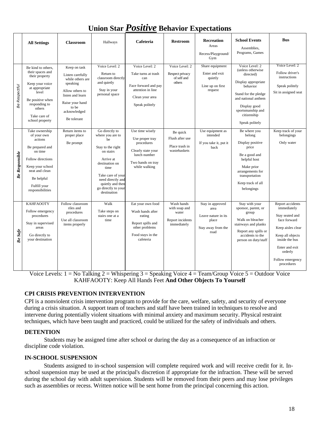## **Union Star** *Positive* **Behavior Expectations**

|                       | <b>All Settings</b>                                                                                                                                                                      | <b>Classroom</b>                                                                                                                                                   | Hallways                                                                                                                                                                                                              | Cafeteria                                                                                                                      | <b>Restroom</b>                                                         | <b>Recreation</b><br>Areas<br>Recess/Playground/<br>Gym                                | <b>School Events</b><br>Assemblies.<br>Programs, Games                                                                                                                                                   | <b>Bus</b>                                                                                                                                                                                   |
|-----------------------|------------------------------------------------------------------------------------------------------------------------------------------------------------------------------------------|--------------------------------------------------------------------------------------------------------------------------------------------------------------------|-----------------------------------------------------------------------------------------------------------------------------------------------------------------------------------------------------------------------|--------------------------------------------------------------------------------------------------------------------------------|-------------------------------------------------------------------------|----------------------------------------------------------------------------------------|----------------------------------------------------------------------------------------------------------------------------------------------------------------------------------------------------------|----------------------------------------------------------------------------------------------------------------------------------------------------------------------------------------------|
| <b>Be Respectful</b>  | Be kind to others,<br>their spaces and<br>their property<br>Keep your voice<br>at appropriate<br>level<br>Be positive when<br>responding to<br>others<br>Take care of<br>school property | Keep on task<br>Listen carefully<br>while others are<br>speaking<br>Allow others to<br>listen and learn<br>Raise your hand<br>to be<br>acknowledged<br>Be tolerant | Voice Level: 2<br>Return to<br>classroom directly<br>and quietly<br>Stay in your<br>personal space                                                                                                                    | Voice Level: 2<br>Take turns at trash<br>can<br>Face forward and pay<br>attention in line<br>Clean your area<br>Speak politely | Voice Level: 2<br>Respect privacy<br>of self and<br>others              | Share equipment<br>Enter and exit<br>quietly<br>Line up on first<br>request            | Voice Level: 2<br>(unless otherwise<br>directed)<br>Display appropriate<br>behavior<br>Stand for the pledge<br>and national anthem<br>Display good<br>sportsmanship and<br>citizenship<br>Speak politely | Voice Level: 2<br>Follow driver's<br>instructions<br>Speak politely<br>Sit in assigned seat                                                                                                  |
| <b>Be Responsible</b> | Take ownership<br>of your own<br>actions<br>Be prepared and<br>on time<br>Follow directions<br>Keep your school<br>neat and clean<br>Be helpful<br>Fulfill your<br>responsibilities      | Return items to<br>proper place<br>Be prompt                                                                                                                       | Go directly to<br>where you are to<br>be<br>Stay to the right<br>on stairs<br>Arrive at<br>destination on<br>time<br>Take care of your<br>need directly and<br>quietly and then<br>go directly to your<br>destination | Use time wisely<br>Use proper tray<br>procedures<br>Clearly state your<br>lunch number<br>Two hands on tray<br>while walking   | Be quick<br>Flush after use<br>Place trash in<br>wastebaskets           | Use equipment as<br>intended<br>If you take it, put it<br>back                         | Be where you<br>belong<br>Display positive<br>price<br>Be a good and<br>helpful host<br>Make prior<br>arrangements for<br>transportation<br>Keep track of all<br>belongings                              | Keep track of your<br>belongings<br>Only water                                                                                                                                               |
| Be Safe               | <b>KAHFAOOTY</b><br>Follow emergency<br>procedures<br>Stay in supervised<br>areas<br>Go directly to<br>your destination                                                                  | Follow classroom<br>riles and<br>procedures<br>Use all classroom<br>items properly                                                                                 | Walk<br>Take steps on<br>stairs one at a<br>time                                                                                                                                                                      | Eat your own food<br>Wash hands after<br>eating<br>Report spills and<br>other problems<br>Food stays in the<br>cafeteria       | Wash hands<br>with soap and<br>water<br>Report incidents<br>immediately | Stay in approved<br>area<br>Leave nature in its<br>place<br>Stay away from the<br>road | Stay with your<br>sponsor, parent, or<br>group<br>Walk on bleacher<br>stairways and planks<br>Report any spills or<br>accidents to the<br>person on duty/staff                                           | Report accidents<br>immediately<br>Stay seated and<br>face forward<br>Keep aisles clear<br>Keep all objects<br>inside the bus<br>Enter and exit<br>orderly<br>Follow emergency<br>procedures |

Voice Levels:  $1 = No$  Talking  $2 = Whispering$   $3 = Speaking$  Voice  $4 = Team/Group$  Voice  $5 = Outdoor$  Voice KAHFAOOTY: Keep All Hands Feet **And Other Objects To Yourself**

#### **CPI CRISIS PREVENTION INTERVENTION**

CPI is a nonviolent crisis intervention program to provide for the care, welfare, safety, and security of everyone during a crisis situation. A support team of teachers and staff have been trained in techniques to resolve and intervene during potentially violent situations with minimal anxiety and maximum security. Physical restraint techniques, which have been taught and practiced, could be utilized for the safety of individuals and others.

#### **DETENTION**

Students may be assigned time after school or during the day as a consequence of an infraction or discipline code violation.

#### **IN-SCHOOL SUSPENSION**

Students assigned to in-school suspension will complete required work and will receive credit for it. Inschool suspension may be used at the principal's discretion if appropriate for the infraction. These will be served during the school day with adult supervision. Students will be removed from their peers and may lose privileges such as assemblies or recess. Written notice will be sent home from the principal concerning this action.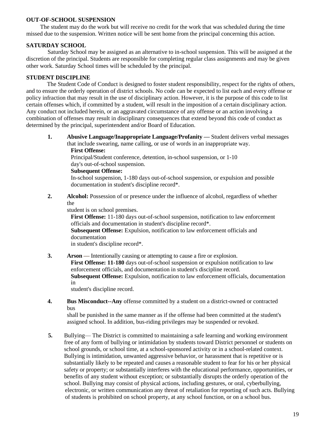#### **OUT-OF-SCHOOL SUSPENSION**

The student may do the work but will receive no credit for the work that was scheduled during the time missed due to the suspension. Written notice will be sent home from the principal concerning this action.

#### **SATURDAY SCHOOL**

Saturday School may be assigned as an alternative to in-school suspension. This will be assigned at the discretion of the principal. Students are responsible for completing regular class assignments and may be given other work. Saturday School times will be scheduled by the principal.

#### **STUDENT DISCIPLINE**

The Student Code of Conduct is designed to foster student responsibility, respect for the rights of others, and to ensure the orderly operation of district schools. No code can be expected to list each and every offense or policy infraction that may result in the use of disciplinary action. However, it is the purpose of this code to list certain offenses which, if committed by a student, will result in the imposition of a certain disciplinary action. Any conduct not included herein, or an aggravated circumstance of any offense or an action involving a combination of offenses may result in disciplinary consequences that extend beyond this code of conduct as determined by the principal, superintendent and/or Board of Education.

**1. Abusive Language/Inappropriate Language/Profanity —** Student delivers verbal messages that include swearing, name calling, or use of words in an inappropriate way.

**First Offense:**

Principal/Student conference, detention, in-school suspension, or 1-10 day's out-of-school suspension.

**Subsequent Offense:**

In-school suspension, 1-180 days out-of-school suspension, or expulsion and possible documentation in student's discipline record\*.

**2. Alcohol:** Possession of or presence under the influence of alcohol, regardless of whether the

student is on school premises.

**First Offense:** 11-180 days out-of-school suspension, notification to law enforcement officials and documentation in student's discipline record\*.

**Subsequent Offense:** Expulsion, notification to law enforcement officials and documentation

in student's discipline record\*.

**3. Arson** — Intentionally causing or attempting to cause a fire or explosion. **First Offense: 11-180** days out-of-school suspension or expulsion notification to law enforcement officials, and documentation in student's discipline record. **Subsequent Offense:** Expulsion, notification to law enforcement officials, documentation in

student's discipline record.

**4. Bus Misconduct--Any** offense committed by a student on a district-owned or contracted bus

shall be punished in the same manner as if the offense had been committed at the student's assigned school. In addition, bus-riding privileges may be suspended or revoked.

**5.** Bullying— The District is committed to maintaining a safe learning and working environment free of any form of bullying or intimidation by students toward District personnel or students on school grounds, or school time, at a school-sponsored activity or in a school-related context. Bullying is intimidation, unwanted aggressive behavior, or harassment that is repetitive or is substantially likely to be repeated and causes a reasonable student to fear for his or her physical safety or property; or substantially interferes with the educational performance, opportunities, or benefits of any student without exception; or substantially disrupts the orderly operation of the school. Bullying may consist of physical actions, including gestures, or oral, cyberbullying, electronic, or written communication any threat of retaliation for reporting of such acts. Bullying of students is prohibited on school property, at any school function, or on a school bus.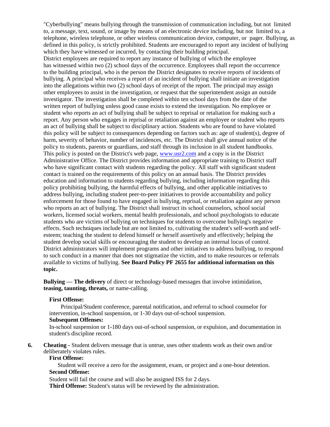"Cyberbullying" means bullying through the transmission of communication including, but not limited to, a message, text, sound, or image by means of an electronic device including, but not limited to, a telephone, wireless telephone, or other wireless communication device, computer, or pager. Bullying, as defined in this policy, is strictly prohibited. Students are encouraged to report any incident of bullying which they have witnessed or incurred, by contacting their building principal.

District employees are required to report any instance of bullying of which the employee has witnessed within two (2) school days of the occurrence. Employees shall report the occurrence to the building principal, who is the person the District designates to receive reports of incidents of bullying. A principal who receives a report of an incident of bullying shall initiate an investigation into the allegations within two (2) school days of receipt of the report. The principal may assign other employees to assist in the investigation, or request that the superintendent assign an outside investigator. The investigation shall be completed within ten school days from the date of the written report of bullying unless good cause exists to extend the investigation. No employee or student who reports an act of bullying shall be subject to reprisal or retaliation for making such a report. Any person who engages in reprisal or retaliation against an employee or student who reports an act of bullying shall be subject to disciplinary action. Students who are found to have violated this policy will be subject to consequences depending on factors such as: age of student(s), degree of harm, severity of behavior, number of incidences, etc. The District shall give annual notice of the policy to students, parents or guardians, and staff through its inclusion in all student handbooks. This policy is posted on the District's web page, [www.usr2.com](http://www.usr2.com/) and a copy is in the District Administrative Office. The District provides information and appropriate training to District staff who have significant contact with students regarding the policy. All staff with significant student contact is trained on the requirements of this policy on an annual basis. The District provides education and information to students regarding bullying, including information regarding this policy prohibiting bullying, the harmful effects of bullying, and other applicable initiatives to address bullying, including student peer-to-peer initiatives to provide accountability and policy enforcement for those found to have engaged in bullying, reprisal, or retaliation against any person who reports an act of bullying. The District shall instruct its school counselors, school social workers, licensed social workers, mental health professionals, and school psychologists to educate students who are victims of bullying on techniques for students to overcome bullying's negative effects. Such techniques include but are not limited to, cultivating the student's self-worth and selfesteem; teaching the student to defend himself or herself assertively and effectively; helping the student develop social skills or encouraging the student to develop an internal locus of control. District administrators will implement programs and other initiatives to address bullying, to respond to such conduct in a manner that does not stigmatize the victim, and to make resources or referrals available to victims of bullying. **See Board Policy PF 2655 for additional information on this topic.**

**Bullying — The delivery** of direct or technology-based messages that involve intimidation, **teasing, taunting, threats,** or name-calling.

#### **First Offense:**

Principal/Student conference, parental notification, and referral to school counselor for intervention, in-school suspension, or 1-30 days out-of-school suspension.

#### **Subsequent Offenses:**

In-school suspension or 1-180 days out-of-school suspension, or expulsion, and documentation in student's discipline record.

**6. Cheating -** Student delivers message that is untrue, uses other students work as their own and/or deliberately violates rules.

#### **First Offense:**

Student will receive a zero for the assignment, exam, or project and a one-hour detention. **Second Offense:**

Student will fail the course and will also be assigned ISS for 2 days. **Third Offense:** Student's status will be reviewed by the administration.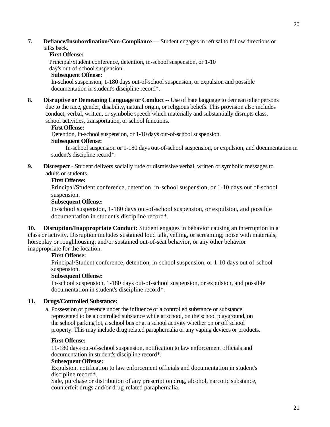**7. Defiance/Insubordination/Non-Compliance —** Student engages in refusal to follow directions or talks back.

### **First Offense:**

Principal/Student conference, detention, in-school suspension, or 1-10 day's out-of-school suspension. **Subsequent Offense:**

In-school suspension, 1-180 days out-of-school suspension, or expulsion and possible documentation in student's discipline record\*.

**8. Disruptive or Demeaning Language or Conduct --** Use of hate language to demean other persons due to the race, gender, disability, natural origin, or religious beliefs. This provision also includes conduct, verbal, written, or symbolic speech which materially and substantially disrupts class, school activities, transportation, or school functions.

#### **First Offense:**

Detention, In-school suspension, or 1-10 days out-of-school suspension.

#### **Subsequent Offense:**

In-school suspension or 1-180 days out-of-school suspension, or expulsion, and documentation in student's discipline record\*.

**9. Disrespect -** Student delivers socially rude or dismissive verbal, written or symbolic messages to adults or students.

#### **First Offense:**

Principal/Student conference, detention, in-school suspension, or 1-10 days out of-school suspension.

#### **Subsequent Offense:**

In-school suspension, 1-180 days out-of-school suspension, or expulsion, and possible documentation in student's discipline record\*.

**10. Disruption/Inappropriate Conduct:** Student engages in behavior causing an interruption in a class or activity. Disruption includes sustained loud talk, yelling, or screaming; noise with materials; horseplay or roughhousing; and/or sustained out-of-seat behavior, or any other behavior inappropriate for the location.

#### **First Offense:**

Principal/Student conference, detention, in-school suspension, or 1-10 days out of-school suspension.

#### **Subsequent Offense:**

In-school suspension, 1-180 days out-of-school suspension, or expulsion, and possible documentation in student's discipline record\*.

#### **11. Drugs/Controlled Substance:**

a. Possession or presence under the influence of a controlled substance or substance represented to be a controlled substance while at school, on the school playground, on the school parking lot, a school bus or at a school activity whether on or off school property. This may include drug related paraphernalia or any vaping devices or products.

#### **First Offense:**

11-180 days out-of-school suspension, notification to law enforcement officials and documentation in student's discipline record\*.

#### **Subsequent Offense:**

Expulsion, notification to law enforcement officials and documentation in student's discipline record\*.

Sale, purchase or distribution of any prescription drug, alcohol, narcotic substance, counterfeit drugs and/or drug-related paraphernalia.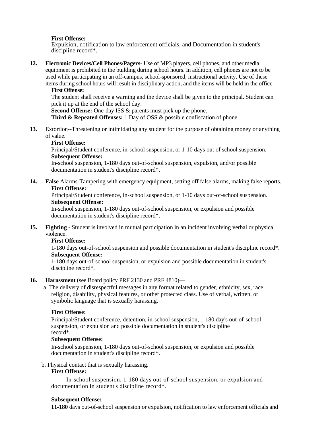#### **First Offense:**

Expulsion, notification to law enforcement officials, and Documentation in student's discipline record\*.

**12. Electronic Devices/Cell Phones/Pagers-** Use of MP3 players, cell phones, and other media equipment is prohibited in the building during school hours. In addition, cell phones are not to be used while participating in an off-campus, school-sponsored, instructional activity. Use of these items during school hours will result in disciplinary action, and the items will be held in the office.

#### **First Offense:**

The student shall receive a warning and the device shall be given to the principal. Student can pick it up at the end of the school day.

**Second Offense:** One-day ISS & parents must pick up the phone.

**Third & Repeated Offenses:** 1 Day of OSS & possible confiscation of phone.

**13.** Extortion--Threatening or intimidating any student for the purpose of obtaining money or anything of value.

#### **First Offense:**

Principal/Student conference, in-school suspension, or 1-10 days out of school suspension. **Subsequent Offense:**

In-school suspension, 1-180 days out-of-school suspension, expulsion, and/or possible documentation in student's discipline record\*.

**14. False** Alarms-Tampering with emergency equipment, setting off false alarms, making false reports. **First Offense:**

Principal/Student conference, in-school suspension, or 1-10 days out-of-school suspension. **Subsequent Offense:**

In-school suspension, 1-180 days out-of-school suspension, or expulsion and possible documentation in student's discipline record\*.

**15. Fighting -** Student is involved in mutual participation in an incident involving verbal or physical violence.

#### **First Offense:**

1-180 days out-of-school suspension and possible documentation in student's discipline record\*. **Subsequent Offense:**

1-180 days out-of-school suspension, or expulsion and possible documentation in student's discipline record\*.

#### **16. Harassment** (see Board policy PRF 2130 and PRF 4810)—

a. The delivery of disrespectful messages in any format related to gender, ethnicity, sex, race, religion, disability, physical features, or other protected class. Use of verbal, written, or symbolic language that is sexually harassing.

#### **First Offense:**

Principal/Student conference, detention, in-school suspension, 1-180 day's out-of-school suspension, or expulsion and possible documentation in student's discipline record\*.

#### **Subsequent Offense:**

In-school suspension, 1-180 days out-of-school suspension, or expulsion and possible documentation in student's discipline record\*.

b. Physical contact that is sexually harassing.

#### **First Offense:**

In-school suspension, 1-180 days out-of-school suspension, or expulsion and documentation in student's discipline record\*.

#### **Subsequent Offense:**

**11-180** days out-of-school suspension or expulsion, notification to law enforcement officials and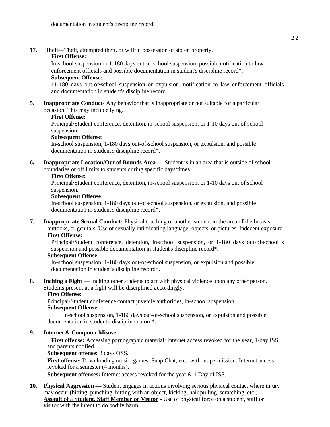**17.** Theft—Theft, attempted theft, or willful possession of stolen property.

#### **First Offense:**

In-school suspension or 1-180 days out-of-school suspension, possible notification to law enforcement officials and possible documentation in student's discipline record\*. **Subsequent Offense:**

#### 11-180 days out-of-school suspension or expulsion, notification to law enforcement officials and documentation in student's discipline record.

**5. Inappropriate Conduct-** Any behavior that is inappropriate or not suitable for a particular occasion. This may include lying.

#### **First Offense:**

Principal/Student conference, detention, in-school suspension, or 1-10 days out of-school suspension.

#### **Subsequent Offense:**

In-school suspension, 1-180 days out-of-school suspension, or expulsion, and possible documentation in student's discipline record\*.

**6. Inappropriate Location/Out of Bounds Area —** Student is in an area that is outside of school boundaries or off limits to students during specific days/times.

#### **First Offense:**

Principal/Student conference, detention, in-school suspension, or 1-10 days out of-school suspension.

#### **Subsequent Offense:**

In-school suspension, 1-180 days out-of-school suspension, or expulsion, and possible documentation in student's discipline record\*.

**7. Inappropriate Sexual Conduct:** Physical touching of another student in the area of the breasts, buttocks, or genitals. Use of sexually intimidating language, objects, or pictures. Indecent exposure.

#### **First Offense:**

Principal/Student conference, detention, in-school suspension, or 1-180 days out-of-school s suspension and possible documentation in student's discipline record\*.

#### **Subsequent Offense:**

In-school suspension, 1-180 days out-of-school suspension, or expulsion and possible documentation in student's discipline record\*.

**8. Inciting a Fight —** Inciting other students to act with physical violence upon any other person. Students present at a fight will be disciplined accordingly.

#### **First Offense:**

Principal/Student conference contact juvenile authorities, in-school suspension. **Subsequent Offense:**

In-school suspension, 1-180 days out-of-school suspension, or expulsion and possible documentation in student's discipline record\*.

#### **9. Internet & Computer Misuse**

**First offense:** Accessing pornographic material: internet access revoked for the year, 1-day ISS and parents notified.

#### **Subsequent offense:** 3 days OSS.

**First offense:** Downloading music, games, Snap Chat, etc., without permission: Internet access revoked for a semester (4 months).

**Subsequent offenses:** Internet access revoked for the year & 1 Day of ISS.

**10. Physical Aggression —** Student engages in actions involving serious physical contact where injury may occur (hitting, punching, hitting with an object, kicking, hair pulling, scratching, etc.). **Assault** of a **Student, Staff Member or Visitor -** Use of physical force on a student, staff or visitor with the intent to do bodily harm.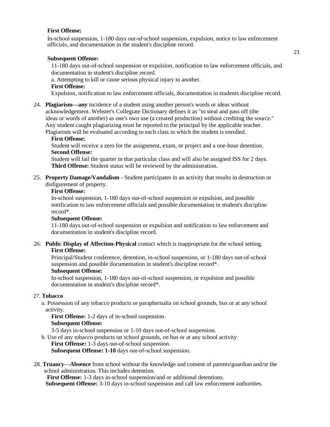#### **First Offense:**

In-school suspension, 1-180 days out-of-school suspension, expulsion, notice to law enforcement officials, and documentation in the student's discipline record.

#### **Subsequent Offense:**

11-180 days out-of-school suspension or expulsion, notification to law enforcement officials, and documentation in student's discipline record.

a. Attempting to kill or cause serious physical injury to another. **First Offense:**

Expulsion, notification to law enforcement officials, documentation in students discipline record.

24. **Plagiarism—any** incidence of a student using another person's words or ideas without acknowledgement. Webster's Collegiate Dictionary defines it as "to steal and pass off (the ideas or words of another) as one's own use (a created production) without crediting the source." Any student caught plagiarizing must be reported to the principal by the applicable teacher. Plagiarism will be evaluated according to each class in which the student is enrolled.

#### **First Offense:**

Student will receive a zero for the assignment, exam, or project and a one-hour detention. **Second Offense:**

Student will fail the quarter in that particular class and will also be assigned ISS for 2 days. **Third Offense:** Student status will be reviewed by the administration.

25. **Property Damage/Vandalism -** Student participates in an activity that results in destruction or disfigurement of property.

#### **First Offense:**

In-school suspension, 1-180 days out-of-school suspension or expulsion, and possible notification to law enforcement officials and possible documentation in student's discipline record\*.

#### **Subsequent Offense:**

11-180 days out-of-school suspension or expulsion and notification to law enforcement and documentation in student's discipline record.

#### 26. **Public Display of Affection-Physical** contact which is inappropriate for the school setting. **First Offense:**

Principal/Student conference, detention, in-school suspension, or 1-180 days out-of-school suspension and possible documentation in student's discipline record\*.

#### **Subsequent Offense:**

In-school suspension, 1-180 days out-of-school suspension, or expulsion and possible documentation in student's discipline record\*.

#### 27. **Tobacco**

a. Possession of any tobacco products or paraphernalia on school grounds, bus or at any school activity.

**First Offense:** 1-2 days of in-school suspension.

#### **Subsequent Offense:**

3-5 days in-school suspension or 1-10 days out-of-school suspension.

b. Use of any tobacco products on school grounds, on bus or at any school activity.

First Offense: 1-3 days out-of-school suspension.

**Subsequent Offense: 1-10** days out-of-school suspension.

 28. **Truancy—Absence** from school without the knowledge and consent of parents/guardian and/or the school administration. This includes detention.

**First Offense:** 1-3 days in-school suspension/and or additional detentions.

**Subsequent Offense:** 3-10 days in-school suspension and call law enforcement authorities.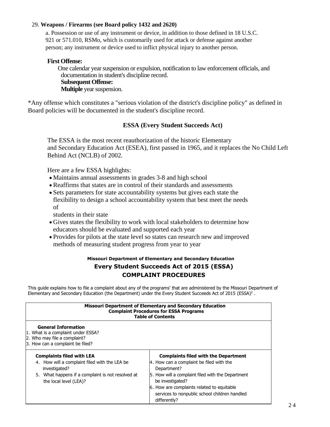#### 29. **Weapons / Firearms (see Board policy 1432 and 2620)**

 a. Possession or use of any instrument or device, in addition to those defined in 18 U.S.C. 921 or 571.010, RSMo, which is customarily used for attack or defense against another person; any instrument or device used to inflict physical injury to another person.

#### **First Offense:**

One calendar year suspension or expulsion, notification to law enforcement officials, and documentation in student's discipline record. **Subsequent Offense: Multiple** year suspension.

\*Any offense which constitutes a "serious violation of the district's discipline policy" as defined in Board policies will be documented in the student's discipline record.

#### **ESSA (Every Student Succeeds Act)**

The ESSA is the most recent reauthorization of the historic Elementary and Secondary Education Act (ESEA), first passed in 1965, and it replaces the No Child Left Behind Act (NCLB) of 2002.

Here are a few ESSA highlights:

- Maintains annual assessments in grades 3-8 and high school
- Reaffirms that states are in control of their standards and assessments
- Sets parameters for state accountability systems but gives each state the flexibility to design a school accountability system that best meet the needs of

students in their state

- Gives states the flexibility to work with local stakeholders to determine how educators should be evaluated and supported each year
- Provides for pilots at the state level so states can research new and improved methods of measuring student progress from year to year

#### **Missouri Department of Elementary and Secondary Education Every Student Succeeds Act of 2015 (ESSA) COMPLAINT PROCEDURES**

This guide explains how to file a complaint about any of the programs' that are administered by the Missouri Department of Elementary and Secondary Education (the Department) under the Every Student Succeeds Act of 2015 (ESSA)<sup>2</sup>.

| <b>Missouri Department of Elementary and Secondary Education</b><br><b>Complaint Procedures for ESSA Programs</b><br><b>Table of Contents</b>                                     |                                                                                                                                                                                                                                                                                                |  |  |  |  |  |
|-----------------------------------------------------------------------------------------------------------------------------------------------------------------------------------|------------------------------------------------------------------------------------------------------------------------------------------------------------------------------------------------------------------------------------------------------------------------------------------------|--|--|--|--|--|
| <b>General Information</b><br>1. What is a complaint under ESSA?<br>2. Who may file a complaint?<br>3. How can a complaint be filed?                                              |                                                                                                                                                                                                                                                                                                |  |  |  |  |  |
| <b>Complaints filed with LEA</b><br>4. How will a complaint filed with the LEA be<br>investigated?<br>5. What happens if a complaint is not resolved at<br>the local level (LEA)? | <b>Complaints filed with the Department</b><br>4. How can a complaint be filed with the<br>Department?<br>5. How will a complaint filed with the Department<br>be investigated?<br>6. How are complaints related to equitable<br>services to nonpublic school children handled<br>differently? |  |  |  |  |  |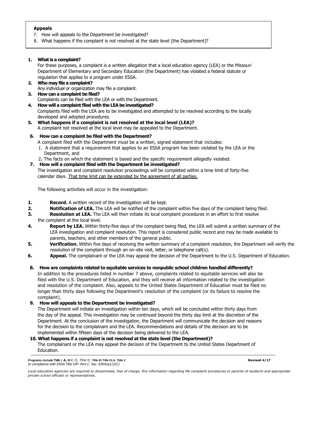#### **Appeals**

- 7. How will appeals to the Department be investigated?
- 8. What happens if the complaint is not resolved at the state level (the Department)?

#### **1. What is a complaint?**

For these purposes, a complaint is a written allegation that a local education agency (LEA) or the Missouri Department of Elementary and Secondary Education (the Department) has violated a federal statute or regulation that applies to a program under ESSA.

#### **2. Who may file a complaint?**

Any individual or organization may file a complaint.

- **3. How can a complaint be filed?** Complaints can be filed with the LEA or with the Department.
- **4. How will a complaint filed with the LEA be investigated?**

Complaints filed with the LEA are to be investigated and attempted to be resolved according to the locally developed and adopted procedures.

**5. What happens if a complaint is not resolved at the local level (LEA)?** A complaint not resolved at the local level may be appealed to the Department.

#### **6. How can a complaint be filed with the Department?**

- A complaint filed with the Department must be a written, signed statement that includes:
- 1. A statement that a requirement that applies to an ESSA program has been violated by the LEA or the Department, and
- 2**.** The facts on which the statement is based and the specific requirement allegedly violated.

#### **7. How will a complaint filed with the Department be investigated?**

The investigation and complaint resolution proceedings will be completed within a time limit of forty-five calendar days. That time limit can be extended by the agreement of all parties.

The following activities will occur in the investigation:

- **1. Record.** A written record of the investigation will be kept.
- **2. Notification of LEA.** The LEA will be notified of the complaint within five days of the complaint being filed.
- **3. Resolution at LEA.** The LEA will then initiate its local complaint procedures in an effort to first resolve the complaint at the local level.
- **4. Report by LEA.** Within thirty-five days of the complaint being filed, the LEA will submit a written summary of the LEA investigation and complaint resolution. This report is considered public record and may be made available to parents, teachers, and other members of the general public.
- **5. Verification.** Within five days of receiving the written summary of a complaint resolution, the Department will verify the resolution of the complaint through an on-site visit, letter, or telephone call(s).
- **6. Appeal.** The complainant or the LEA may appeal the decision of the Department to the U.S. Department of Education.

#### **8. How are complaints related to equitable services to nonpublic school children handled differently?**

In addition to the procedures listed in number 7 above, complaints related to equitable services will also be filed with the U.S. Department of Education, and they will receive all information related to the investigation and resolution of the complaint. Also, appeals to the United States Department of Education must be filed no longer than thirty days following the Department's resolution of the complaint (or its failure to resolve the complaint).

#### **9. How will appeals to the Department be investigated?**

The Department will initiate an investigation within ten days, which will be concluded within thirty days from the day of the appeal. This investigation may be continued beyond the thirty day limit at the discretion of the Department. At the conclusion of the investigation, the Department will communicate the decision and reasons for the decision to the complainant and the LEA. Recommendations and details of the decision are to be implemented within fifteen days of the decision being delivered to the LEA.

#### **10. What happens if a complaint is not resolved at the state level (the Department)?**

The complainant or the LEA may appeal the decision of the Department to the United States Department of Education.

*Programs include* **Tdk** *I.* **A,** *B C, O, Title tl, Title lit Title IV.A, Title V* **Revised 4/17** *In compliance with ESSA Title VIP- Port C. Sec. 8304(a)(3)(C)*

Local education agencies are required to disseminate, free of charge, this information regarding Me complaint procedures to parents of students and appropriate *private school officials or representatives.*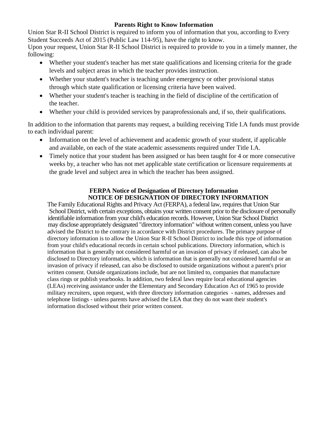### **Parents Right to Know Information**

Union Star R-II School District is required to inform you of information that you, according to Every Student Succeeds Act of 2015 (Public Law 114-95), have the right to know.

Upon your request, Union Star R-II School District is required to provide to you in a timely manner, the following:

- Whether your student's teacher has met state qualifications and licensing criteria for the grade levels and subject areas in which the teacher provides instruction.
- Whether your student's teacher is teaching under emergency or other provisional status through which state qualification or licensing criteria have been waived.
- Whether your student's teacher is teaching in the field of discipline of the certification of the teacher.
- Whether your child is provided services by paraprofessionals and, if so, their qualifications.

In addition to the information that parents may request, a building receiving Title I.A funds must provide to each individual parent:

- Information on the level of achievement and academic growth of your student, if applicable and available, on each of the state academic assessments required under Title I.A.
- Timely notice that your student has been assigned or has been taught for 4 or more consecutive weeks by, a teacher who has not met applicable state certification or licensure requirements at the grade level and subject area in which the teacher has been assigned.

#### **FERPA Notice of Designation of Directory Information NOTICE OF DESIGNATION OF DIRECTORY INFORMATION**

The Family Educational Rights and Privacy Act (FERPA), a federal law, requires that Union Star School District, with certain exceptions, obtains your written consent prior to the disclosure of personally identifiable information from your child's education records. However, Union Star School District may disclose appropriately designated "directory information" without written consent, unless you have advised the District to the contrary in accordance with District procedures. The primary purpose of directory information is to allow the Union Star R-II School District to include this type of information from your child's educational records in certain school publications. Directory information, which is information that is generally not considered harmful or an invasion of privacy if released, can also be disclosed to Directory information, which is information that is generally not considered harmful or an invasion of privacy if released, can also be disclosed to outside organizations without a parent's prior written consent. Outside organizations include, but are not limited to, companies that manufacture class rings or publish yearbooks. In addition, two federal laws require local educational agencies (LEAs) receiving assistance under the Elementary and Secondary Education Act of 1965 to provide military recruiters, upon request, with three directory information categories - names, addresses and telephone listings - unless parents have advised the LEA that they do not want their student's information disclosed without their prior written consent.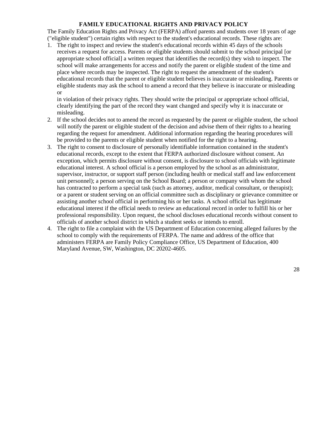#### **FAMILY EDUCATIONAL RIGHTS AND PRIVACY POLICY**

The Family Education Rights and Privacy Act (FERPA) afford parents and students over 18 years of age ("eligible student") certain rights with respect to the student's educational records. These rights are:

1. The right to inspect and review the student's educational records within 45 days of the schools receives a request for access. Parents or eligible students should submit to the school principal [or appropriate school official] a written request that identifies the record(s) they wish to inspect. The school will make arrangements for access and notify the parent or eligible student of the time and place where records may be inspected. The right to request the amendment of the student's educational records that the parent or eligible student believes is inaccurate or misleading. Parents or eligible students may ask the school to amend a record that they believe is inaccurate or misleading or

in violation of their privacy rights. They should write the principal or appropriate school official, clearly identifying the part of the record they want changed and specify why it is inaccurate or misleading.

- 2. If the school decides not to amend the record as requested by the parent or eligible student, the school will notify the parent or eligible student of the decision and advise them of their rights to a hearing regarding the request for amendment. Additional information regarding the hearing procedures will be provided to the parents or eligible student when notified for the right to a hearing.
- 3. The right to consent to disclosure of personally identifiable information contained in the student's educational records, except to the extent that FERPA authorized disclosure without consent. An exception, which permits disclosure without consent, is disclosure to school officials with legitimate educational interest. A school official is a person employed by the school as an administrator, supervisor, instructor, or support staff person (including health or medical staff and law enforcement unit personnel); a person serving on the School Board; a person or company with whom the school has contracted to perform a special task (such as attorney, auditor, medical consultant, or therapist); or a parent or student serving on an official committee such as disciplinary or grievance committee or assisting another school official in performing his or her tasks. A school official has legitimate educational interest if the official needs to review an educational record in order to fulfill his or her professional responsibility. Upon request, the school discloses educational records without consent to officials of another school district in which a student seeks or intends to enroll.
- 4. The right to file a complaint with the US Department of Education concerning alleged failures by the school to comply with the requirements of FERPA. The name and address of the office that administers FERPA are Family Policy Compliance Office, US Department of Education, 400 Maryland Avenue, SW, Washington, DC 20202-4605.